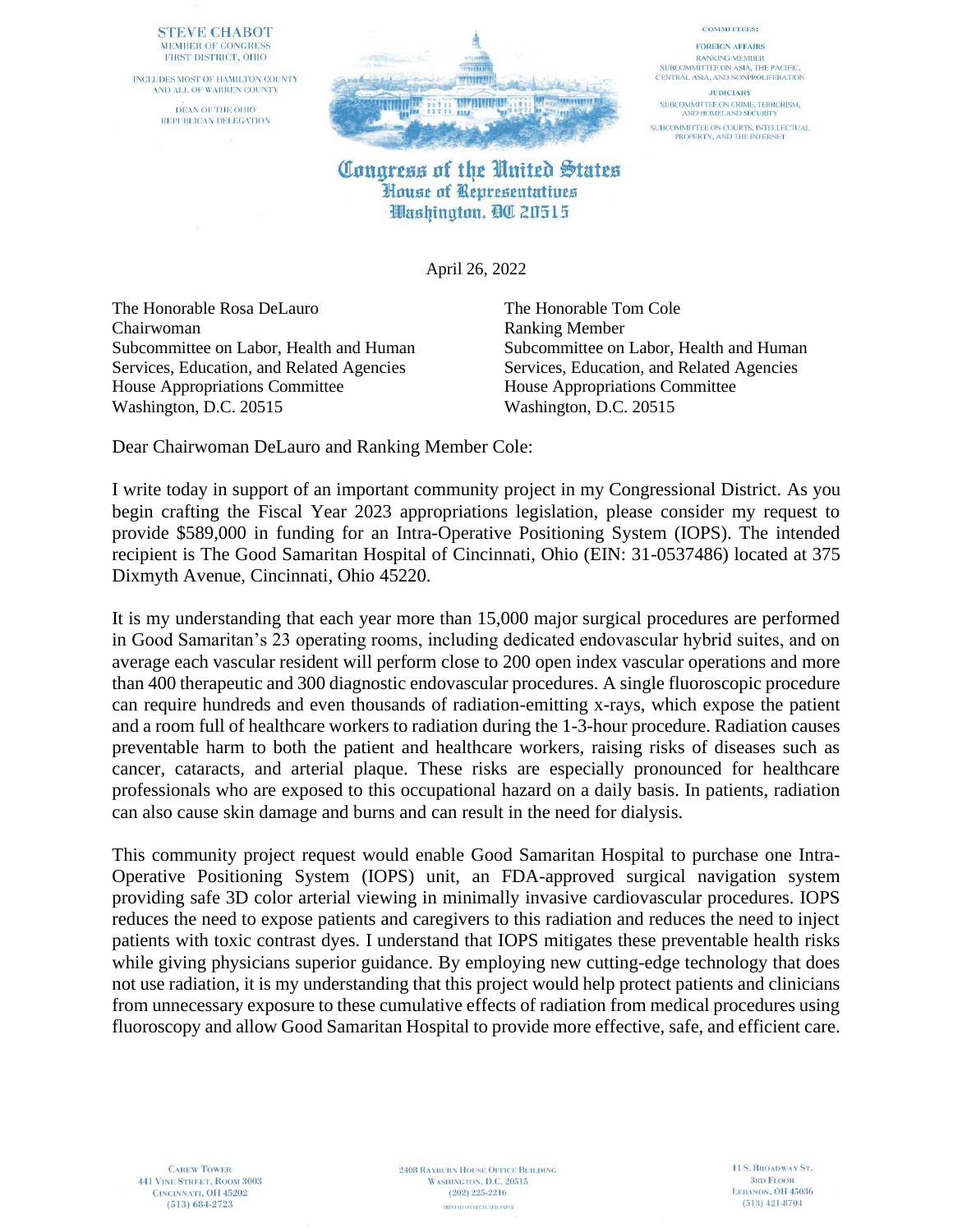## **STEVE CHABOT** MEMBER OF CONGRESS FIRST DISTRICT, OHIO

INCLUDES MOST OF HAMILTON COUNTY AND ALL OF WARREN COUNTY DEAN OF THE OHIO REPUBLICAN DELEGATION



## **COMMITTEES:** FOREIGN AFFAIRS **RANKING MEMBER** SUBCOMMITTEE ON ASIA, THE PACIFIC, CENTRAL ASIA, AND NONPROLIFERATION

**JUDICIARY** SUBCOMMITTEE ON CRIME, TERRORISM,<br>AND HOMELAND SECURITY SUBCOMMITTEE ON COURTS, INTELLECTUAL<br>PROPERTY, AND THE INTERNET

## Congress of the United States House of Representatives **Washington, QC 20515**

April 26, 2022

The Honorable Rosa DeLauro The Honorable Tom Cole Chairwoman Ranking Member Services, Education, and Related Agencies Services, Education, and Related Agencies House Appropriations Committee House Appropriations Committee Washington, D.C. 20515 Washington, D.C. 20515

Subcommittee on Labor, Health and Human Subcommittee on Labor, Health and Human

Dear Chairwoman DeLauro and Ranking Member Cole:

I write today in support of an important community project in my Congressional District. As you begin crafting the Fiscal Year 2023 appropriations legislation, please consider my request to provide \$589,000 in funding for an Intra-Operative Positioning System (IOPS). The intended recipient is The Good Samaritan Hospital of Cincinnati, Ohio (EIN: 31-0537486) located at 375 Dixmyth Avenue, Cincinnati, Ohio 45220.

It is my understanding that each year more than 15,000 major surgical procedures are performed in Good Samaritan's 23 operating rooms, including dedicated endovascular hybrid suites, and on average each vascular resident will perform close to 200 open index vascular operations and more than 400 therapeutic and 300 diagnostic endovascular procedures. A single fluoroscopic procedure can require hundreds and even thousands of radiation-emitting x-rays, which expose the patient and a room full of healthcare workers to radiation during the 1-3-hour procedure. Radiation causes preventable harm to both the patient and healthcare workers, raising risks of diseases such as cancer, cataracts, and arterial plaque. These risks are especially pronounced for healthcare professionals who are exposed to this occupational hazard on a daily basis. In patients, radiation can also cause skin damage and burns and can result in the need for dialysis.

This community project request would enable Good Samaritan Hospital to purchase one Intra-Operative Positioning System (IOPS) unit, an FDA-approved surgical navigation system providing safe 3D color arterial viewing in minimally invasive cardiovascular procedures. IOPS reduces the need to expose patients and caregivers to this radiation and reduces the need to inject patients with toxic contrast dyes. I understand that IOPS mitigates these preventable health risks while giving physicians superior guidance. By employing new cutting-edge technology that does not use radiation, it is my understanding that this project would help protect patients and clinicians from unnecessary exposure to these cumulative effects of radiation from medical procedures using fluoroscopy and allow Good Samaritan Hospital to provide more effective, safe, and efficient care.

**2408 RAYBURN HOUSE OFFICE BUILDING** WASHINGTON, D.C. 20515  $(202)$  225-2216 PRINTED ON RECYCLED PAPER.

11 S. BROADWAY ST. **3RD FLOOR** LEBANON, OH 45036  $(513)$  421-8704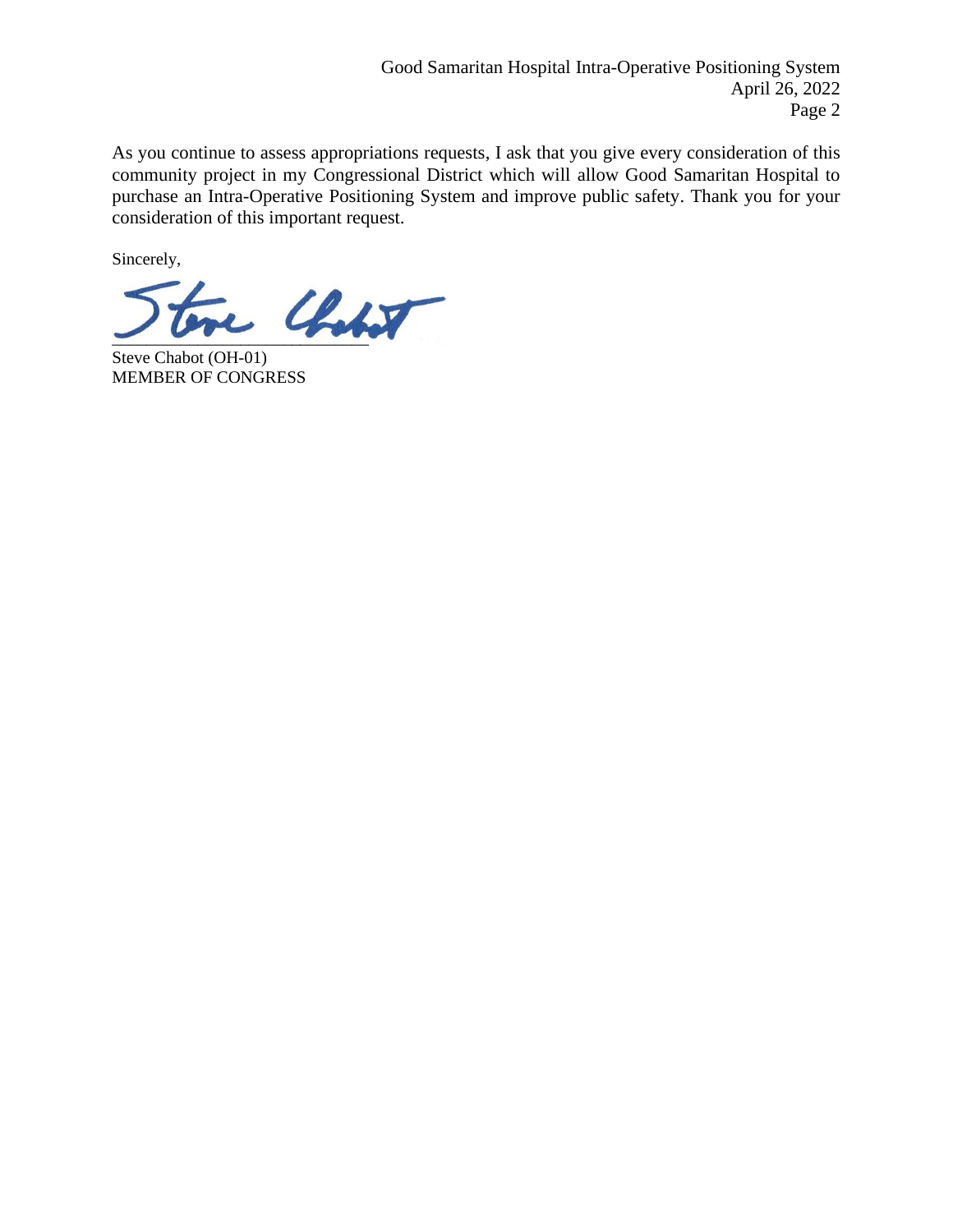As you continue to assess appropriations requests, I ask that you give every consideration of this community project in my Congressional District which will allow Good Samaritan Hospital to purchase an Intra-Operative Positioning System and improve public safety. Thank you for your consideration of this important request.

Sincerely,

 $L$  Chabot

Steve Chabot (OH-01) MEMBER OF CONGRESS